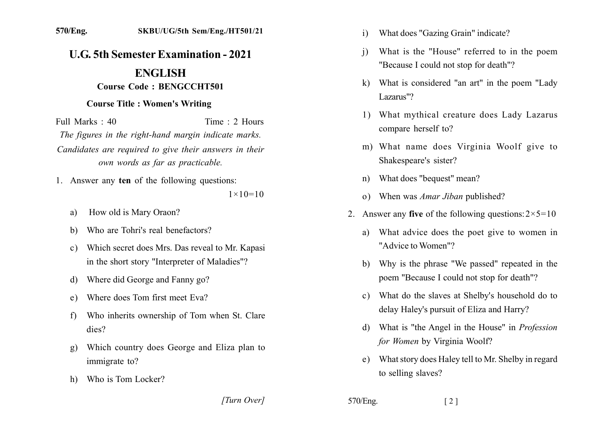## **U.G. 5th Semester Examination - 2021**

## **ENGLISH Course Code: BENGCCHT501**

## **Course Title: Women's Writing**

Full Marks  $\cdot$  40 Time  $\cdot$  2 Hours The figures in the right-hand margin indicate marks. Candidates are required to give their answers in their own words as far as practicable.

1. Answer any ten of the following questions:

 $1 \times 10 = 10$ 

- How old is Mary Oraon? a)
- Who are Tohri's real benefactors?  $h)$
- Which secret does Mrs. Das reveal to Mr. Kapasi  $c)$ in the short story "Interpreter of Maladies"?
- Where did George and Fanny go? d)
- Where does Tom first meet Eva?  $e)$
- Who inherits ownership of Tom when St. Clare f)  $dies?$
- Which country does George and Eliza plan to  $\mathbf{Q}$ immigrate to?
- Who is Tom Locker?  $h$

[Turn Over]

- What does "Gazing Grain" indicate?  $\mathbf{i}$
- What is the "House" referred to in the poem  $\overline{1}$ "Because I could not stop for death"?
- k) What is considered "an art" in the poem "Lady Lazarus"?
- 1) What mythical creature does Lady Lazarus compare herself to?
- m) What name does Virginia Woolf give to Shakespeare's sister?
- What does "bequest" mean?  $n)$
- When was *Amar Jiban* published?  $\Omega$ )
- 2. Answer any five of the following questions:  $2 \times 5 = 10$ 
	- What advice does the poet give to women in a) "Advice to Women"?
	- b) Why is the phrase "We passed" repeated in the poem "Because I could not stop for death"?
	- c) What do the slaves at Shelby's household do to delay Haley's pursuit of Eliza and Harry?
	- d) What is "the Angel in the House" in *Profession* for Women by Virginia Woolf?
	- What story does Haley tell to Mr. Shelby in regard e) to selling slaves?

570/Eng.  $\lceil 2 \rceil$